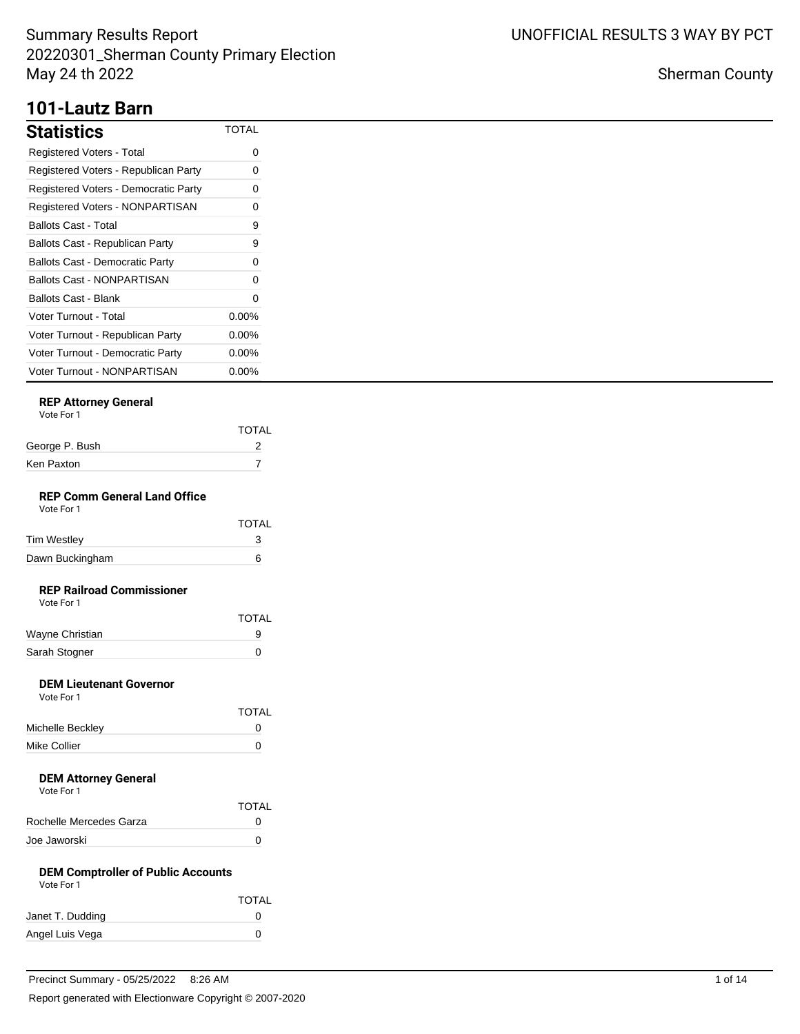## **101-Lautz Barn**

| <b>Statistics</b>                      | TOTAL    |
|----------------------------------------|----------|
| Registered Voters - Total              | ი        |
| Registered Voters - Republican Party   | 0        |
| Registered Voters - Democratic Party   | 0        |
| Registered Voters - NONPARTISAN        | 0        |
| <b>Ballots Cast - Total</b>            | 9        |
| Ballots Cast - Republican Party        | 9        |
| <b>Ballots Cast - Democratic Party</b> | 0        |
| Ballots Cast - NONPARTISAN             | 0        |
| Ballots Cast - Blank                   | 0        |
| Voter Turnout - Total                  | $0.00\%$ |
| Voter Turnout - Republican Party       | $0.00\%$ |
| Voter Turnout - Democratic Party       | $0.00\%$ |
| Voter Turnout - NONPARTISAN            | $0.00\%$ |

## **REP Attorney General**

|                | <b>TOTAL</b> |
|----------------|--------------|
| George P. Bush |              |
| Ken Paxton     |              |
|                |              |

#### **REP Comm General Land Office** Vote For 1

|                 | <b>TOTAL</b> |
|-----------------|--------------|
| Tim Westley     |              |
| Dawn Buckingham | ิค           |

## **REP Railroad Commissioner**

| Vote For 1 |  |
|------------|--|
|            |  |

|                 | <b>TOTAL</b> |
|-----------------|--------------|
| Wayne Christian |              |
| Sarah Stogner   |              |

### **DEM Lieutenant Governor**

| Vote For 1       |              |
|------------------|--------------|
|                  | <b>TOTAL</b> |
| Michelle Beckley | n            |
| Mike Collier     | n            |

#### **DEM Attorney General** Vote For 1

| VULTE FUIL              |              |
|-------------------------|--------------|
|                         | <b>TOTAL</b> |
| Rochelle Mercedes Garza | $\mathbf{I}$ |
| Joe Jaworski            |              |

#### **DEM Comptroller of Public Accounts** Vote For 1

| VULTUII          |              |
|------------------|--------------|
|                  | <b>TOTAL</b> |
| Janet T. Dudding | $^{(1)}$     |
| Angel Luis Vega  | O            |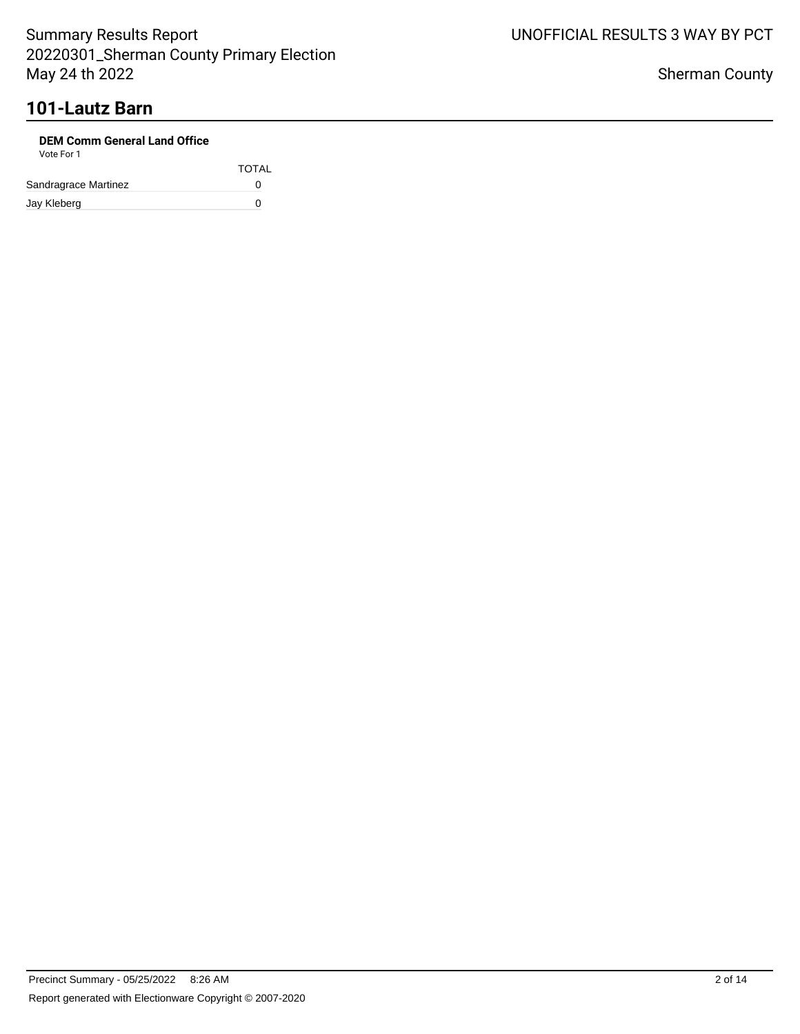# **101-Lautz Barn**

| <b>DEM Comm General Land Office</b><br>Vote For 1 |              |
|---------------------------------------------------|--------------|
|                                                   | <b>TOTAL</b> |
| Sandragrace Martinez                              | O            |
| Jay Kleberg                                       | n            |

UNOFFICIAL RESULTS 3 WAY BY PCT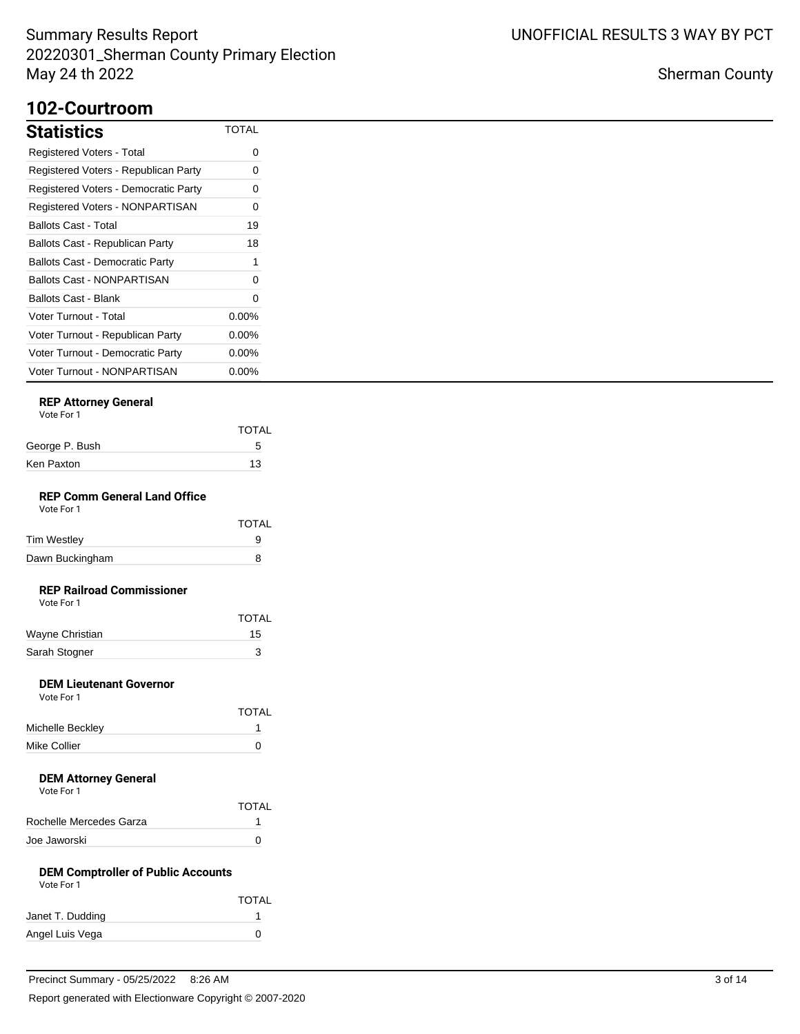## **102-Courtroom**

| <b>Statistics</b>                      | TOTAL    |
|----------------------------------------|----------|
| Registered Voters - Total              | 0        |
| Registered Voters - Republican Party   | 0        |
| Registered Voters - Democratic Party   | 0        |
| Registered Voters - NONPARTISAN        | 0        |
| Ballots Cast - Total                   | 19       |
| Ballots Cast - Republican Party        | 18       |
| <b>Ballots Cast - Democratic Party</b> | 1        |
| <b>Ballots Cast - NONPARTISAN</b>      | O        |
| Ballots Cast - Blank                   | 0        |
| Voter Turnout - Total                  | $0.00\%$ |
| Voter Turnout - Republican Party       | $0.00\%$ |
| Voter Turnout - Democratic Party       | $0.00\%$ |
| Voter Turnout - NONPARTISAN            | $0.00\%$ |

## **REP Attorney General**

| Vote For 1 |  |
|------------|--|
|            |  |

|                | <b>TOTAL</b> |
|----------------|--------------|
| George P. Bush | 5            |
| Ken Paxton     | 13           |
|                |              |

#### **REP Comm General Land Office** Vote For 1

| .               |              |
|-----------------|--------------|
|                 | <b>TOTAL</b> |
| Tim Westley     | 9            |
| Dawn Buckingham | 8            |

## **REP Railroad Commissioner**

| Vote For 1 |  |
|------------|--|
|            |  |

|                 | <b>TOTAL</b> |
|-----------------|--------------|
| Wayne Christian | 15           |
| Sarah Stogner   |              |

### **DEM Lieutenant Governor**

| Vote For 1       |              |
|------------------|--------------|
|                  | <b>TOTAL</b> |
| Michelle Beckley |              |
| Mike Collier     | n            |

#### **DEM Attorney General** Vote For 1

| VULTE FUILL             |              |
|-------------------------|--------------|
|                         | <b>TOTAL</b> |
| Rochelle Mercedes Garza |              |
| Joe Jaworski            |              |

#### **DEM Comptroller of Public Accounts** Vote For 1

| <b>VULLE FULL</b> |              |
|-------------------|--------------|
|                   | <b>TOTAL</b> |
| Janet T. Dudding  |              |
| Angel Luis Vega   | $\mathbf{0}$ |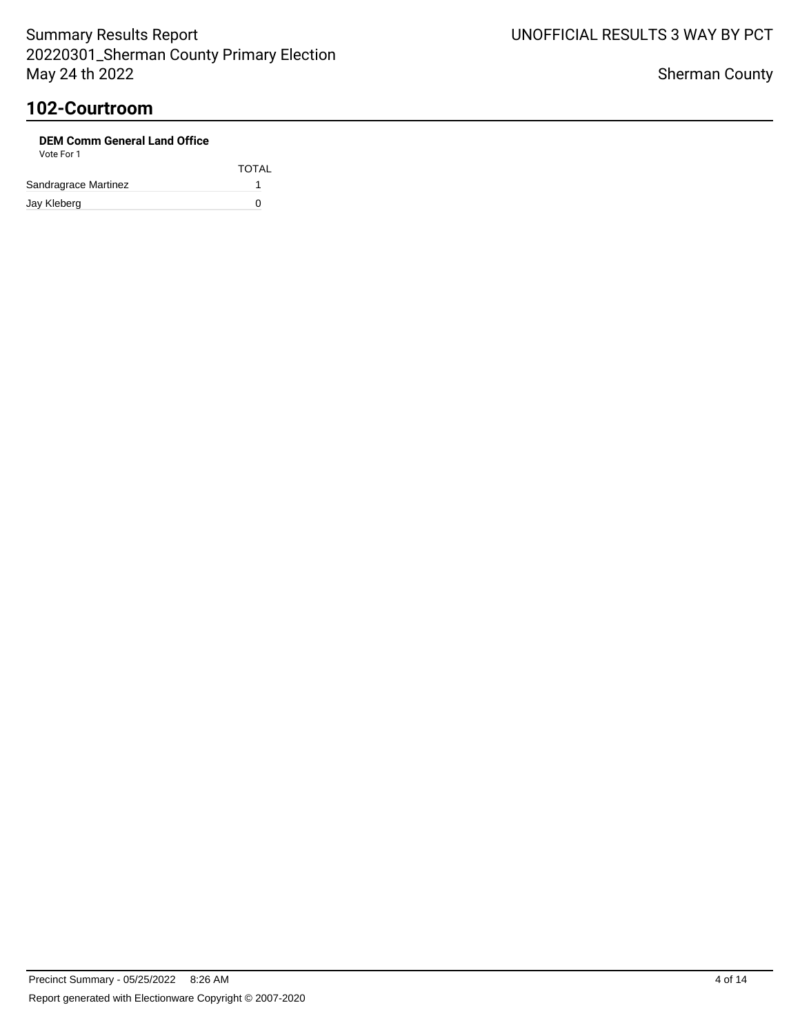| <b>DEM Comm General Land Office</b><br>Vote For 1 |              |
|---------------------------------------------------|--------------|
|                                                   | <b>TOTAL</b> |
| Sandragrace Martinez                              |              |
| Jay Kleberg                                       | n            |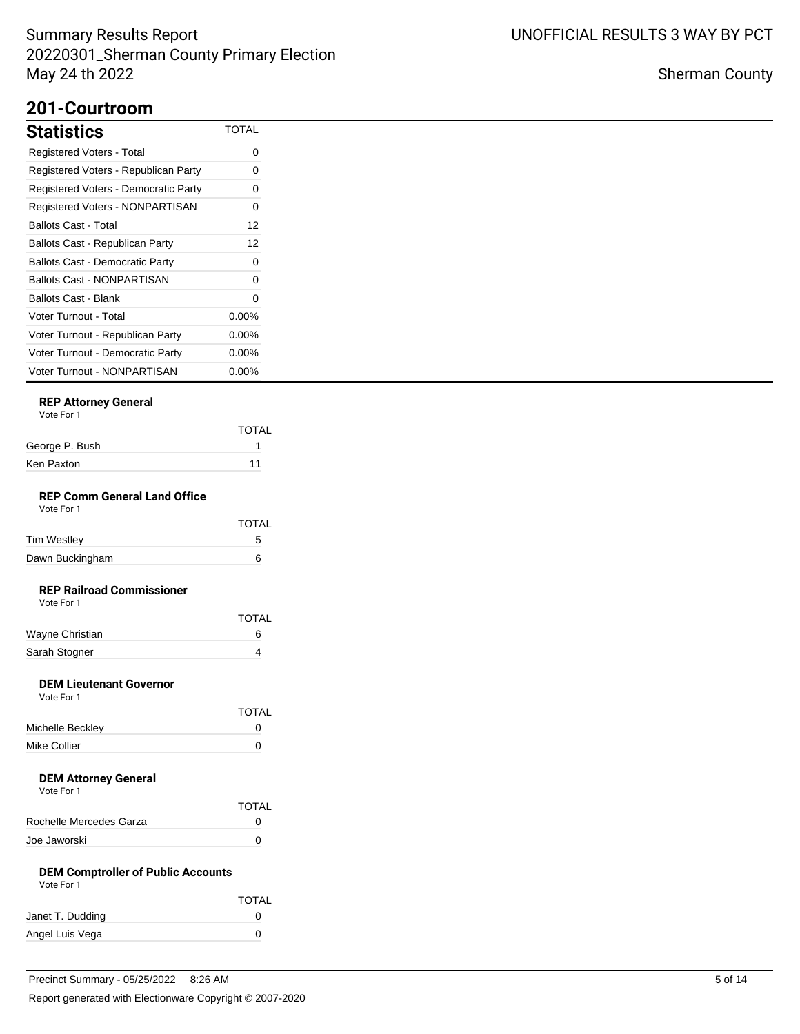## **201-Courtroom**

| <b>Statistics</b>                      | <b>TOTAL</b> |
|----------------------------------------|--------------|
| <b>Registered Voters - Total</b>       | 0            |
| Registered Voters - Republican Party   | 0            |
| Registered Voters - Democratic Party   | 0            |
| <b>Registered Voters - NONPARTISAN</b> | 0            |
| Ballots Cast - Total                   | 12           |
| Ballots Cast - Republican Party        | 12           |
| <b>Ballots Cast - Democratic Party</b> | 0            |
| Ballots Cast - NONPARTISAN             | 0            |
| Ballots Cast - Blank                   | 0            |
| <b>Voter Turnout - Total</b>           | $0.00\%$     |
| Voter Turnout - Republican Party       | $0.00\%$     |
| Voter Turnout - Democratic Party       | $0.00\%$     |
| Voter Turnout - NONPARTISAN            | $0.00\%$     |

## **REP Attorney General**

|                                                   | TOTAL        |
|---------------------------------------------------|--------------|
| George P. Bush                                    | 1            |
| Ken Paxton                                        | 11           |
| <b>REP Comm General Land Office</b><br>Vote For 1 |              |
|                                                   | TOTAL        |
| Tim Westley                                       | 5            |
| Dawn Buckingham                                   | 6            |
| <b>REP Railroad Commissioner</b><br>Vote For 1    |              |
|                                                   | <b>TOTAL</b> |
| Wayne Christian                                   | 6            |
| Sarah Stogner                                     | 4            |
| <b>DEM Lieutenant Governor</b><br>Vote For 1      |              |
|                                                   | <b>TOTAL</b> |
| Michelle Beckley                                  | 0            |
| Mike Collier                                      | 0            |
|                                                   |              |

#### **DEM Attorney General** Vote For 1

| VULTE FUILL             |              |
|-------------------------|--------------|
|                         | <b>TOTAL</b> |
| Rochelle Mercedes Garza | 0            |
| Joe Jaworski            |              |

#### **DEM Comptroller of Public Accounts** Vote For 1

| <b>VULLE FULL</b> |              |
|-------------------|--------------|
|                   | <b>TOTAL</b> |
| Janet T. Dudding  | $^{(1)}$     |
| Angel Luis Vega   | O            |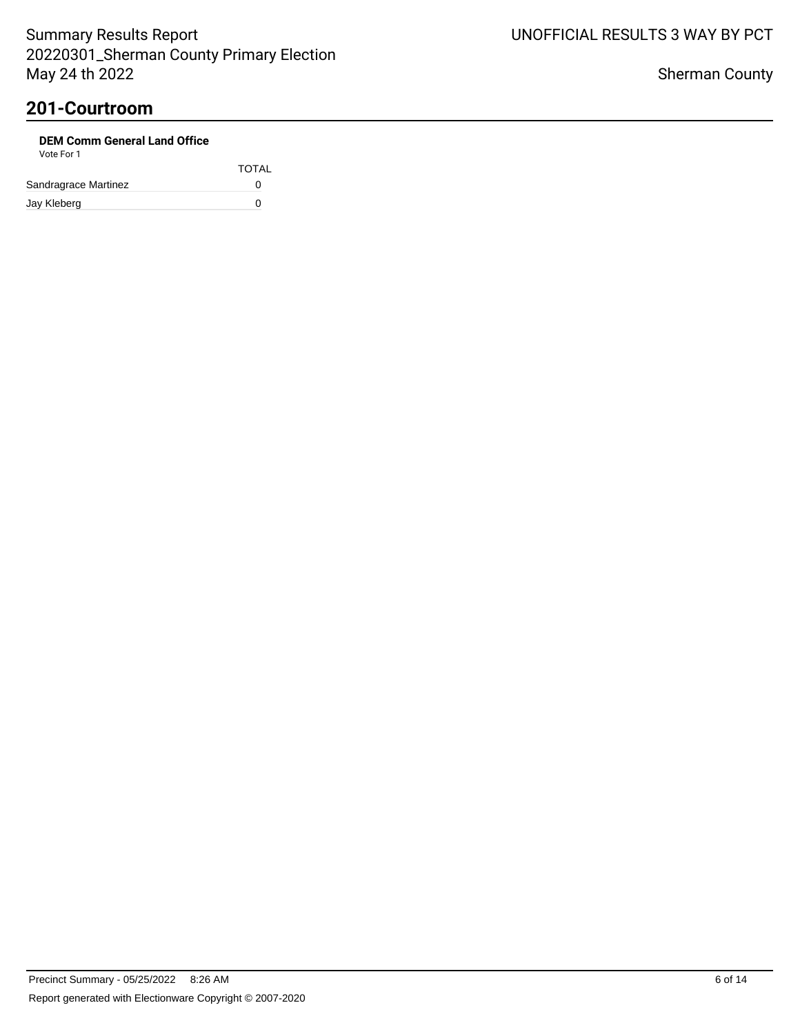| <b>DEM Comm General Land Office</b><br>Vote For 1 |              |
|---------------------------------------------------|--------------|
|                                                   | <b>TOTAL</b> |
| Sandragrace Martinez                              | O            |
| Jay Kleberg                                       | n            |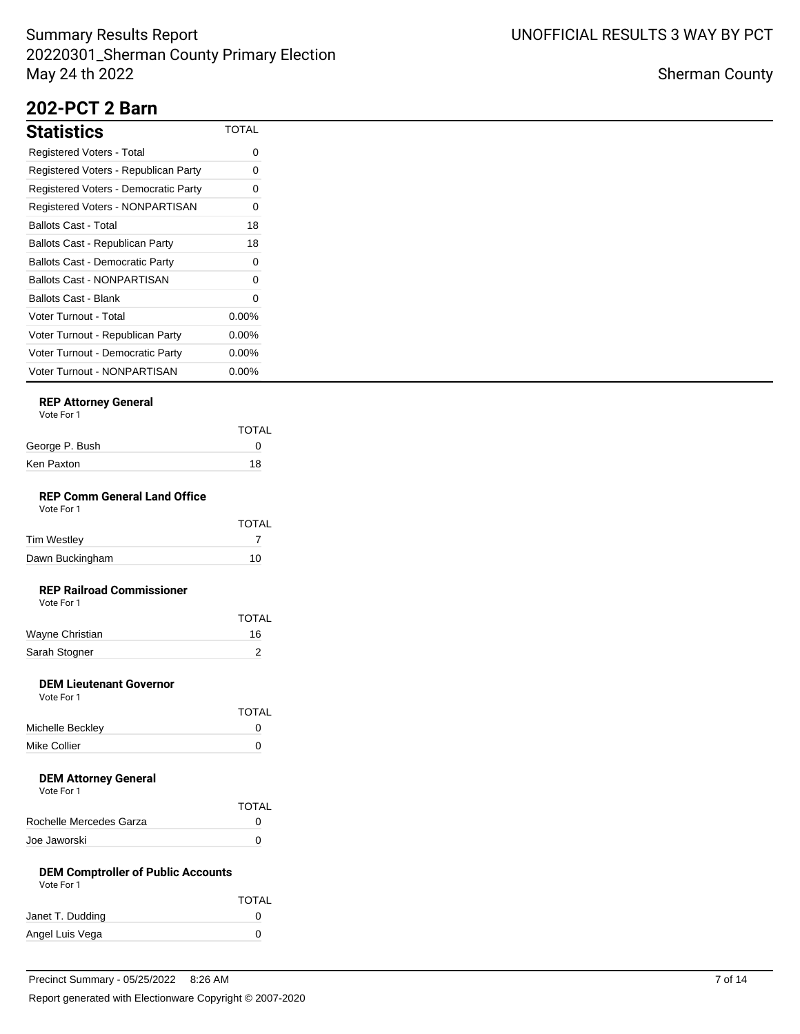## **202-PCT 2 Barn**

| <b>Statistics</b>                      | <b>TOTAL</b> |
|----------------------------------------|--------------|
| Registered Voters - Total              | 0            |
| Registered Voters - Republican Party   | 0            |
| Registered Voters - Democratic Party   | 0            |
| Registered Voters - NONPARTISAN        | 0            |
| Ballots Cast - Total                   | 18           |
| Ballots Cast - Republican Party        | 18           |
| <b>Ballots Cast - Democratic Party</b> | 0            |
| Ballots Cast - NONPARTISAN             | 0            |
| Ballots Cast - Blank                   | 0            |
| Voter Turnout - Total                  | $0.00\%$     |
| Voter Turnout - Republican Party       | $0.00\%$     |
| Voter Turnout - Democratic Party       | 0.00%        |
| Voter Turnout - NONPARTISAN            | $0.00\%$     |

## **REP Attorney General**

|                                      | <b>TOTAL</b> |
|--------------------------------------|--------------|
| George P. Bush                       | 0            |
| Ken Paxton                           | 18           |
| <b>DED Camps Canaval Land Office</b> |              |

#### **REP Comm General Land Office** Vote For 1

| .               | <b>TOTAL</b> |
|-----------------|--------------|
| Tim Westley     |              |
| Dawn Buckingham | 10           |

### **REP Railroad Commissioner**

|                 | <b>TOTAL</b> |
|-----------------|--------------|
| Wayne Christian | 16.          |
| Sarah Stogner   |              |

### **DEM Lieutenant Governor**

| Vote For 1       |              |
|------------------|--------------|
|                  | <b>TOTAL</b> |
| Michelle Beckley | O            |
| Mike Collier     | n            |

#### **DEM Attorney General** Vote For 1

| VOLE FOI T              | <b>TOTAL</b> |
|-------------------------|--------------|
|                         |              |
| Rochelle Mercedes Garza | 0            |
| Joe Jaworski            |              |

#### **DEM Comptroller of Public Accounts** Vote For 1

| <b>VULLE FULL</b> |              |
|-------------------|--------------|
|                   | <b>TOTAL</b> |
| Janet T. Dudding  | $^{(1)}$     |
| Angel Luis Vega   | $\mathbf{0}$ |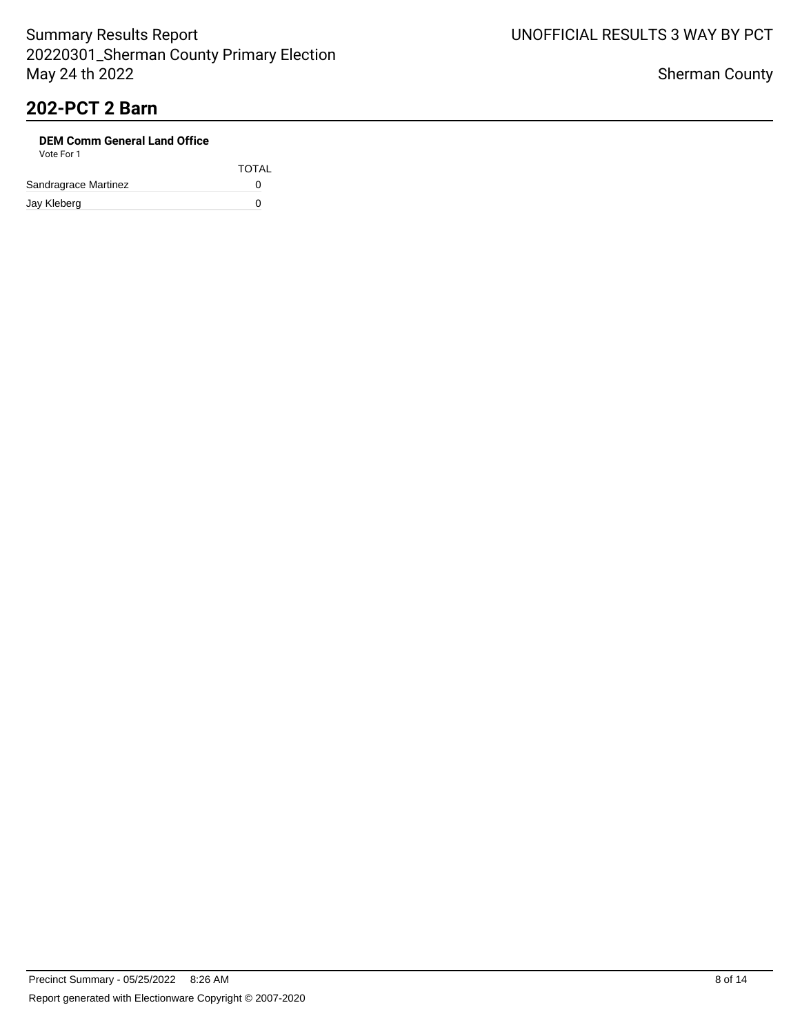# **202-PCT 2 Barn**

| <b>DEM Comm General Land Office</b><br>Vote For 1 |              |
|---------------------------------------------------|--------------|
|                                                   | <b>TOTAL</b> |
| Sandragrace Martinez                              | O            |
| Jay Kleberg                                       | n            |

UNOFFICIAL RESULTS 3 WAY BY PCT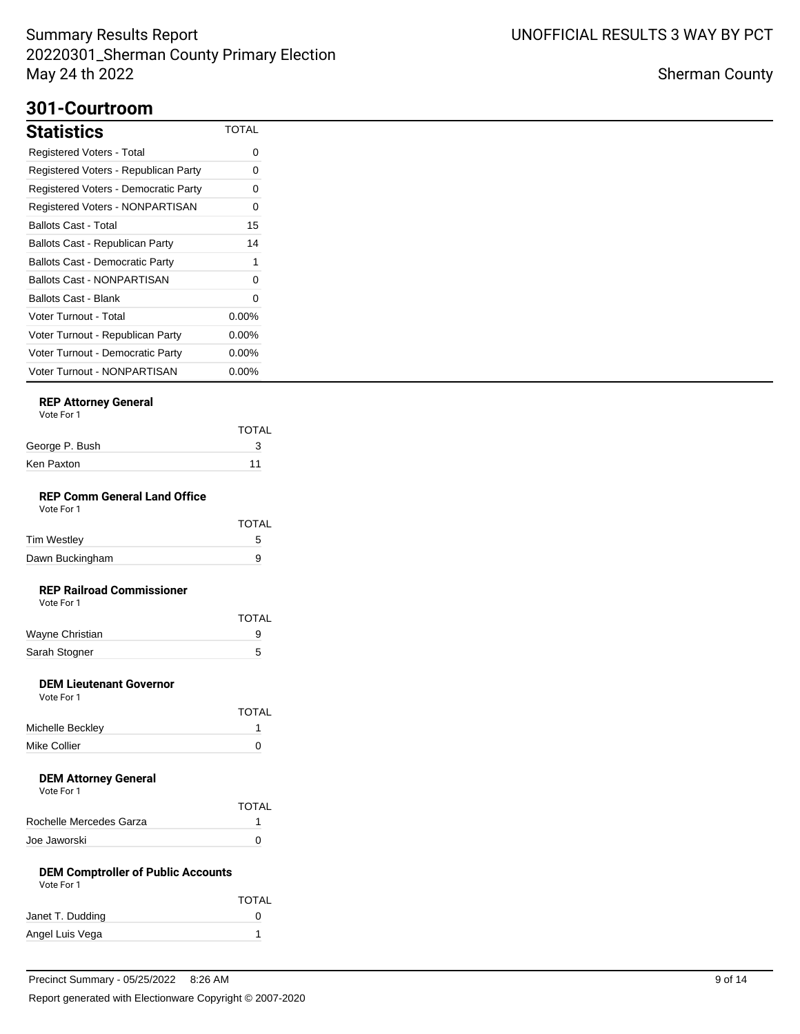## **301-Courtroom**

| <b>Statistics</b>                      | <b>TOTAL</b> |
|----------------------------------------|--------------|
| <b>Registered Voters - Total</b>       | 0            |
| Registered Voters - Republican Party   | 0            |
| Registered Voters - Democratic Party   | 0            |
| <b>Registered Voters - NONPARTISAN</b> | 0            |
| Ballots Cast - Total                   | 15           |
| Ballots Cast - Republican Party        | 14           |
| <b>Ballots Cast - Democratic Party</b> | 1            |
| Ballots Cast - NONPARTISAN             | 0            |
| Ballots Cast - Blank                   | 0            |
| <b>Voter Turnout - Total</b>           | $0.00\%$     |
| Voter Turnout - Republican Party       | $0.00\%$     |
| Voter Turnout - Democratic Party       | $0.00\%$     |
| Voter Turnout - NONPARTISAN            | $0.00\%$     |

## **REP Attorney General**

| Vote For 1 |  |
|------------|--|
|            |  |

|                                                         | <b>TOTAL</b> |
|---------------------------------------------------------|--------------|
| George P. Bush                                          | 3            |
| Ken Paxton                                              | 11           |
|                                                         |              |
| <b>REP Comm General Land Office</b><br>Vote For 1       |              |
|                                                         | <b>TOTAL</b> |
| Tim Westley                                             | 5            |
| Dawn Buckingham                                         | 9            |
| <b>REP Railroad Commissioner</b><br>Vote For 1          |              |
|                                                         | <b>TOTAL</b> |
| Wayne Christian                                         | 9            |
| Sarah Stogner                                           | 5            |
| <b>DEM Lieutenant Governor</b><br>Vote For 1            |              |
|                                                         | TOTAL        |
| Michelle Beckley                                        | 1            |
| Mike Collier                                            | 0            |
| <b>DEM Attorney General</b><br>Vote For 1               |              |
|                                                         | <b>TOTAL</b> |
| Rochelle Mercedes Garza                                 | 1            |
| Joe Jaworski                                            | 0            |
| <b>DEM Comptroller of Public Accounts</b><br>Vote For 1 |              |
|                                                         | TOTAL        |
| Janet T. Dudding                                        | 0            |
|                                                         |              |

Angel Luis Vega 1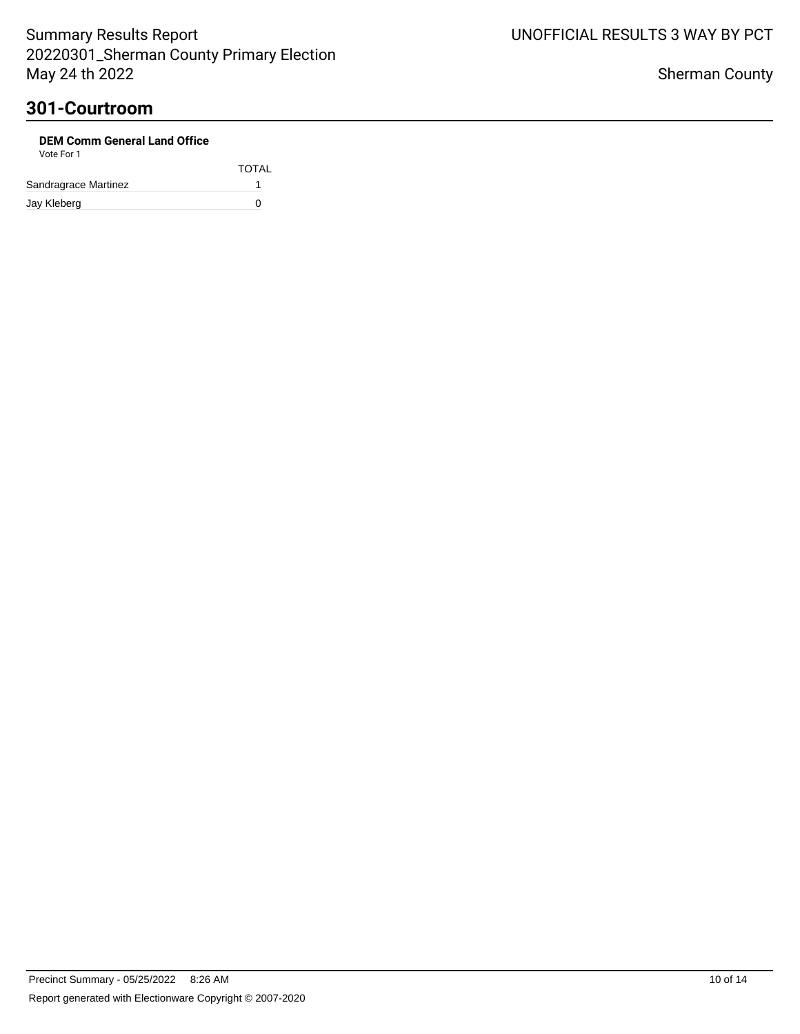| <b>DEM Comm General Land Office</b><br>Vote For 1 |              |
|---------------------------------------------------|--------------|
|                                                   | <b>TOTAL</b> |
| Sandragrace Martinez                              |              |
| Jay Kleberg                                       | n            |

UNOFFICIAL RESULTS 3 WAY BY PCT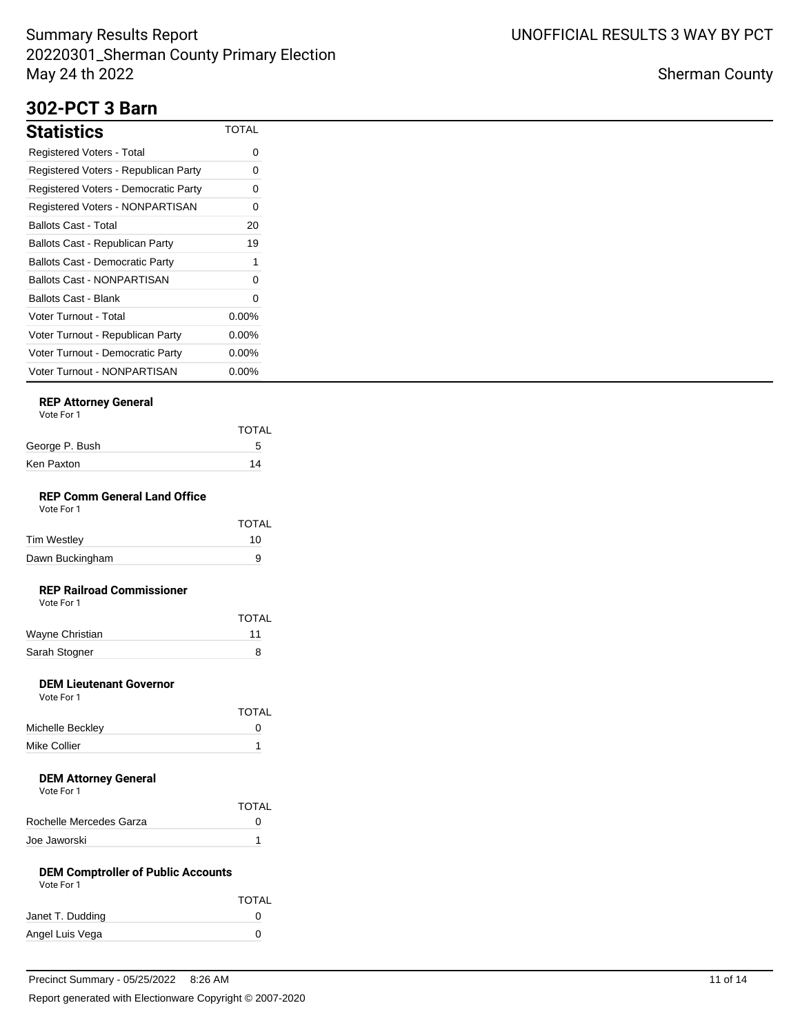## **302-PCT 3 Barn**

| Statistics                             | <b>TOTAL</b> |
|----------------------------------------|--------------|
| Registered Voters - Total              | 0            |
| Registered Voters - Republican Party   | 0            |
| Registered Voters - Democratic Party   | O            |
| Registered Voters - NONPARTISAN        | 0            |
| Ballots Cast - Total                   | 20           |
| Ballots Cast - Republican Party        | 19           |
| <b>Ballots Cast - Democratic Party</b> | 1            |
| Ballots Cast - NONPARTISAN             | O            |
| Ballots Cast - Blank                   | 0            |
| Voter Turnout - Total                  | 0.00%        |
| Voter Turnout - Republican Party       | $0.00\%$     |
| Voter Turnout - Democratic Party       | $0.00\%$     |
| Voter Turnout - NONPARTISAN            | $0.00\%$     |

## **REP Attorney General**

|                | <b>TOTAL</b> |
|----------------|--------------|
| George P. Bush | 5            |
| Ken Paxton     | 14           |
|                |              |

#### **REP Comm General Land Office** Vote For 1

| .               |              |
|-----------------|--------------|
|                 | <b>TOTAL</b> |
| Tim Westley     | 10           |
| Dawn Buckingham | я            |

# **REP Railroad Commissioner**

|                 | <b>TOTAL</b> |
|-----------------|--------------|
| Wayne Christian | 11           |
| Sarah Stogner   |              |

## **DEM Lieutenant Governor**

| Vote For 1       |              |
|------------------|--------------|
|                  | <b>TOTAL</b> |
| Michelle Beckley | n            |
| Mike Collier     |              |

#### **DEM Attorney General** Vote For 1

| <b>TOTAL</b>      |
|-------------------|
| $\mathbf{\Omega}$ |
|                   |
|                   |

#### **DEM Comptroller of Public Accounts** Vote For 1

| 1 IU I V         |              |
|------------------|--------------|
|                  | <b>TOTAL</b> |
| Janet T. Dudding | $^{(1)}$     |
| Angel Luis Vega  | 0            |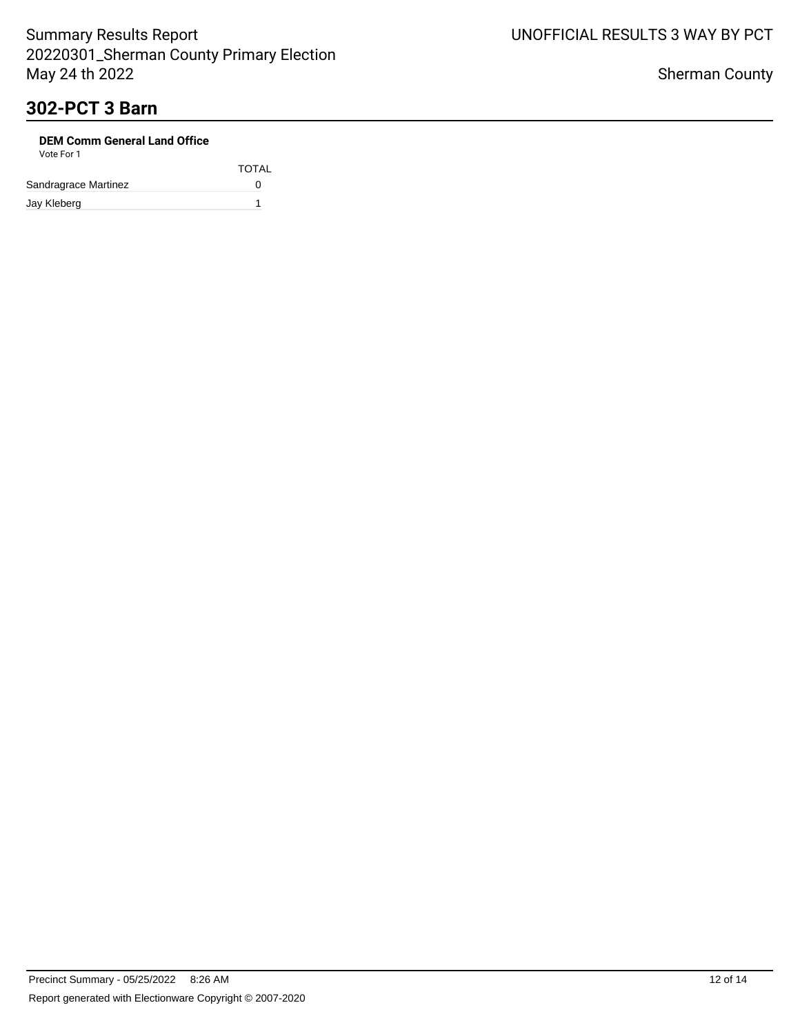# **302-PCT 3 Barn**

| <b>DEM Comm General Land Office</b><br>Vote For 1 |              |
|---------------------------------------------------|--------------|
|                                                   | <b>TOTAL</b> |
| Sandragrace Martinez                              |              |
| Jay Kleberg                                       |              |

# UNOFFICIAL RESULTS 3 WAY BY PCT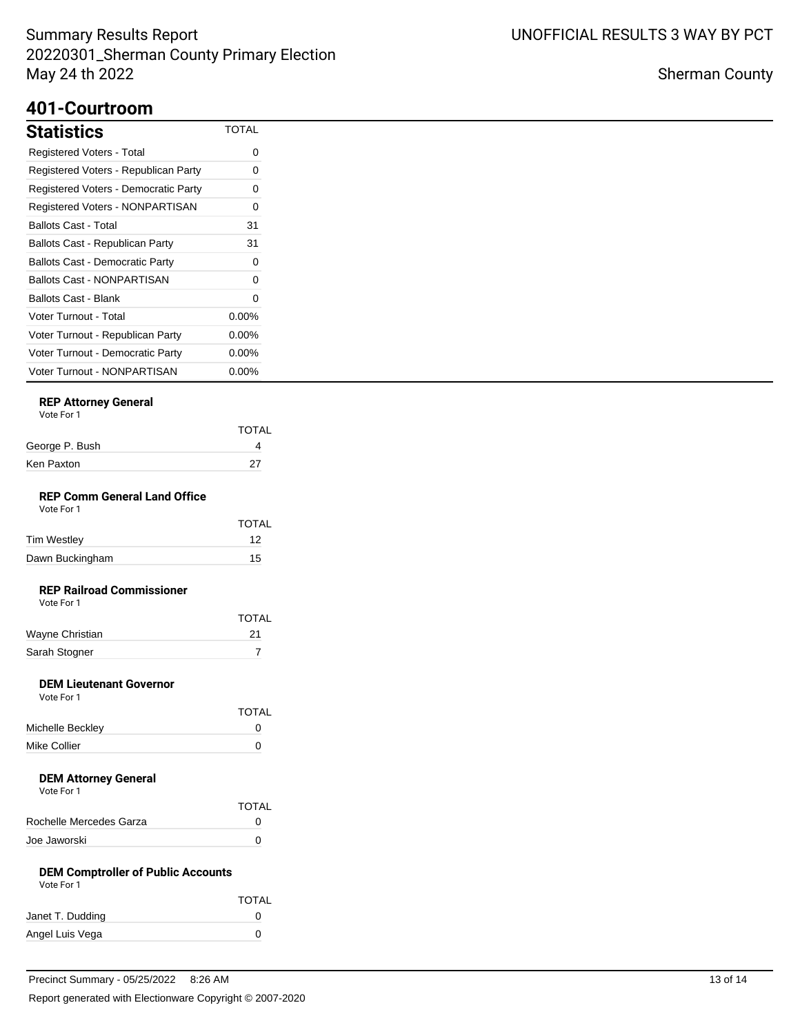## **401-Courtroom**

| <b>Statistics</b>                      | <b>TOTAL</b> |
|----------------------------------------|--------------|
| <b>Registered Voters - Total</b>       | 0            |
| Registered Voters - Republican Party   | 0            |
| Registered Voters - Democratic Party   | 0            |
| <b>Registered Voters - NONPARTISAN</b> | 0            |
| Ballots Cast - Total                   | 31           |
| Ballots Cast - Republican Party        | 31           |
| <b>Ballots Cast - Democratic Party</b> | O            |
| Ballots Cast - NONPARTISAN             | 0            |
| Ballots Cast - Blank                   | 0            |
| <b>Voter Turnout - Total</b>           | $0.00\%$     |
| Voter Turnout - Republican Party       | $0.00\%$     |
| Voter Turnout - Democratic Party       | $0.00\%$     |
| Voter Turnout - NONPARTISAN            | $0.00\%$     |

## **REP Attorney General**

|                | <b>TOTAL</b> |
|----------------|--------------|
| George P. Bush |              |
| Ken Paxton     | 27           |
|                |              |

#### **REP Comm General Land Office** Vote For 1

| VULTUII |  |
|---------|--|
|         |  |
|         |  |

|                 | <b>TOTAL</b> |
|-----------------|--------------|
| Tim Westley     | 12           |
| Dawn Buckingham | 15           |

## **REP Railroad Commissioner**

| Vote For 1 |  |
|------------|--|
|            |  |

|                 | <b>TOTAL</b> |
|-----------------|--------------|
| Wayne Christian | 21           |
| Sarah Stogner   |              |

## **DEM Lieutenant Governor**

| Vote For 1       |              |
|------------------|--------------|
|                  | <b>TOTAL</b> |
| Michelle Beckley | n            |
| Mike Collier     |              |

#### **DEM Attorney General** Vote For 1

| VOLE FOI T              |              |
|-------------------------|--------------|
|                         | TOTAL        |
| Rochelle Mercedes Garza | $\mathbf{0}$ |
| Joe Jaworski            | O            |

#### **DEM Comptroller of Public Accounts** Vote For 1

| <b>VULLE FULL</b> |              |
|-------------------|--------------|
|                   | <b>TOTAL</b> |
| Janet T. Dudding  | $^{(1)}$     |
| Angel Luis Vega   | $\mathbf{0}$ |